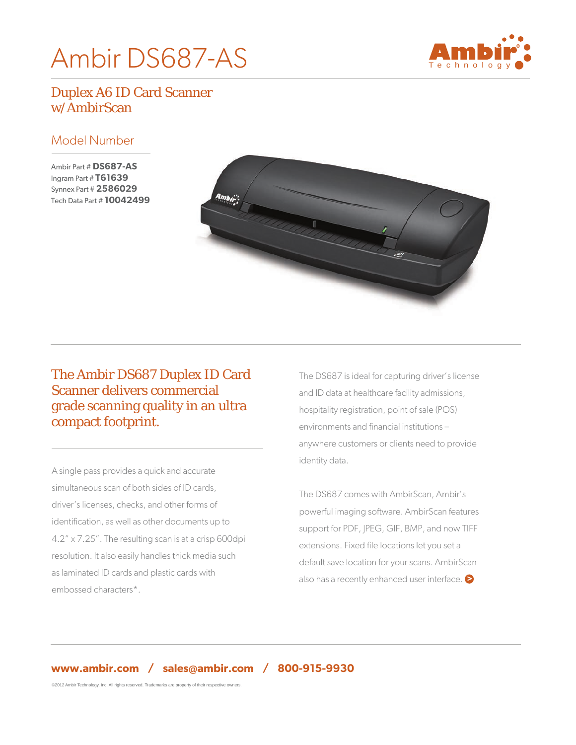# Ambir DS687-AS



# Duplex A6 ID Card Scanner w/AmbirScan

#### Model Number

Ambir Part # **DS687-AS** Ingram Part # **T61639** Synnex Part # **2586029** Tech Data Part # **10042499**



# The Ambir DS687 Duplex ID Card Scanner delivers commercial grade scanning quality in an ultra compact footprint.

A single pass provides a quick and accurate simultaneous scan of both sides of ID cards, driver's licenses, checks, and other forms of identification, as well as other documents up to 4.2" x 7.25". The resulting scan is at a crisp 600dpi resolution. It also easily handles thick media such as laminated ID cards and plastic cards with embossed characters\*.

The DS687 is ideal for capturing driver's license and ID data at healthcare facility admissions, hospitality registration, point of sale (POS) environments and financial institutions – anywhere customers or clients need to provide identity data.

also has a recently enhanced user interface. The DS687 comes with AmbirScan, Ambir's powerful imaging software. AmbirScan features support for PDF, JPEG, GIF, BMP, and now TIFF extensions. Fixed file locations let you set a default save location for your scans. AmbirScan

©2012 Ambir Technology, Inc. All rights reserved. Trademarks are property of their respective owners.